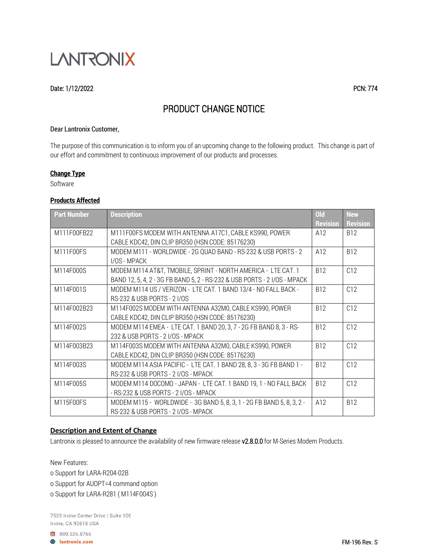

#### Date: 1/12/2022 PCN: 774

# PRODUCT CHANGE NOTICE

#### Dear Lantronix Customer,

The purpose of this communication is to inform you of an upcoming change to the following product. This change is part of our effort and commitment to continuous improvement of our products and processes.

#### **Change Type**

Software

### **Products Affected**

| <b>Part Number</b> | <b>Description</b>                                                                                                                          | <b>Old</b>             | <b>New</b>                    |
|--------------------|---------------------------------------------------------------------------------------------------------------------------------------------|------------------------|-------------------------------|
| M111F00FB22        | M111F00FS MODEM WITH ANTENNA A17C1, CABLE KS990, POWER                                                                                      | <b>Revision</b><br>A12 | <b>Revision</b><br><b>B12</b> |
| M111F00FS          | CABLE KDC42, DIN CLIP BR350 (HSN CODE: 85176230)<br>MODEM M111 - WORLDWIDE - 2G QUAD BAND - RS-232 & USB PORTS - 2                          | A12                    | <b>B12</b>                    |
| M114F000S          | I/OS - MPACK<br>MODEM M114 AT&T, TMOBILE, SPRINT - NORTH AMERICA - LTE CAT. 1                                                               | <b>B12</b>             | C <sub>12</sub>               |
| M114F001S          | BAND 12, 5, 4, 2 - 3G FB BAND 5, 2 - RS-232 & USB PORTS - 2 I/OS - MPACK<br>MODEM M114 US / VERIZON - LTE CAT. 1 BAND 13/4 - NO FALL BACK - | <b>B12</b>             | C12                           |
| M114F002B23        | RS-232 & USB PORTS - 2 I/OS<br>M114F002S MODEM WITH ANTENNA A32M0, CABLE KS990, POWER                                                       | <b>B12</b>             | C12                           |
|                    | CABLE KDC42, DIN CLIP BR350 (HSN CODE: 85176230)                                                                                            |                        |                               |
| M114F002S          | MODEM M114 EMEA - LTE CAT. 1 BAND 20, 3, 7 - 2G FB BAND 8, 3 - RS-<br>232 & USB PORTS - 2 I/OS - MPACK                                      | <b>B12</b>             | C12                           |
| M114F003B23        | M114F003S MODEM WITH ANTENNA A32M0, CABLE KS990, POWER<br>CABLE KDC42, DIN CLIP BR350 (HSN CODE: 85176230)                                  | <b>B12</b>             | C12                           |
| M114F003S          | MODEM M114 ASIA PACIFIC - LTE CAT. 1 BAND 28, 8, 3 - 3G FB BAND 1 -<br>RS-232 & USB PORTS - 2 I/OS - MPACK                                  | <b>B12</b>             | C12                           |
| M114F005S          | MODEM M114 DOCOMO - JAPAN - LTE CAT. 1 BAND 19, 1 - NO FALL BACK<br>- RS-232 & USB PORTS - 2 I/OS - MPACK                                   | <b>B12</b>             | C12                           |
| M115F00FS          | MODEM M115 - WORLDWIDE - 3G BAND 5, 8, 3, 1 - 2G FB BAND 5, 8, 3, 2 -<br>RS-232 & USB PORTS - 2 I/OS - MPACK                                | A12                    | <b>B12</b>                    |

#### **Description and Extent of Change**

Lantronix is pleased to announce the availability of new firmware release v2.8.0.0 for M-Series Modem Products.

New Features:

o Support for LARA-R204-02B

o Support for AUOPT=4 command option

o Support for LARA-R281 ( M114F004S )

7535 Irvine Center Drive | Suite 100 Irvine, CA 92618 USA

800.526.8766

**B** lantronix.com